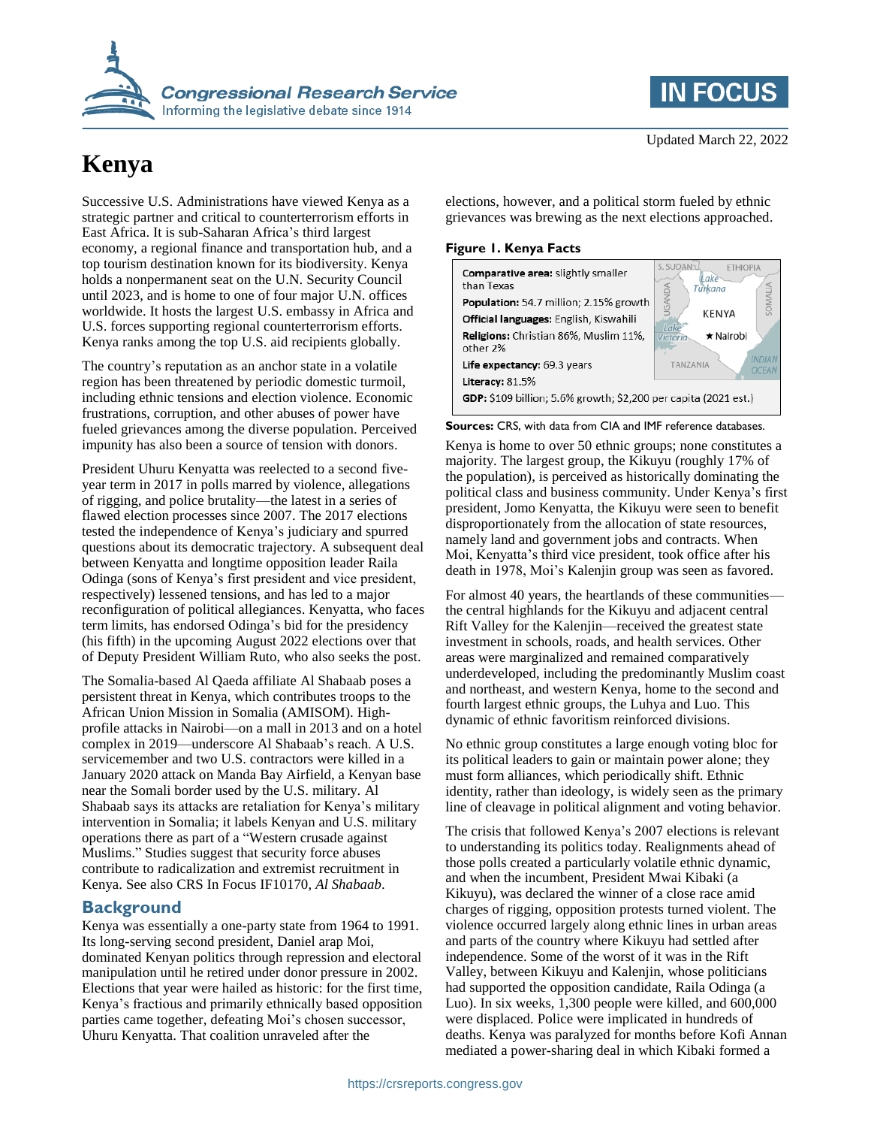

# **Kenya**

Successive U.S. Administrations have viewed Kenya as a strategic partner and critical to counterterrorism efforts in East Africa. It is sub-Saharan Africa's third largest economy, a regional finance and transportation hub, and a top tourism destination known for its biodiversity. Kenya holds a nonpermanent seat on the U.N. Security Council until 2023, and is home to one of four major U.N. offices worldwide. It hosts the largest U.S. embassy in Africa and U.S. forces supporting regional counterterrorism efforts. Kenya ranks among the top U.S. aid recipients globally.

The country's reputation as an anchor state in a volatile region has been threatened by periodic domestic turmoil, including ethnic tensions and election violence. Economic frustrations, corruption, and other abuses of power have fueled grievances among the diverse population. Perceived impunity has also been a source of tension with donors.

President Uhuru Kenyatta was reelected to a second fiveyear term in 2017 in polls marred by violence, allegations of rigging, and police brutality—the latest in a series of flawed election processes since 2007. The 2017 elections tested the independence of Kenya's judiciary and spurred questions about its democratic trajectory. A subsequent deal between Kenyatta and longtime opposition leader Raila Odinga (sons of Kenya's first president and vice president, respectively) lessened tensions, and has led to a major reconfiguration of political allegiances. Kenyatta, who faces term limits, has endorsed Odinga's bid for the presidency (his fifth) in the upcoming August 2022 elections over that of Deputy President William Ruto, who also seeks the post.

The Somalia-based Al Qaeda affiliate Al Shabaab poses a persistent threat in Kenya, which contributes troops to the African Union Mission in Somalia (AMISOM). Highprofile attacks in Nairobi—on a mall in 2013 and on a hotel complex in 2019—underscore Al Shabaab's reach. A U.S. servicemember and two U.S. contractors were killed in a January 2020 attack on Manda Bay Airfield, a Kenyan base near the Somali border used by the U.S. military. Al Shabaab says its attacks are retaliation for Kenya's military intervention in Somalia; it labels Kenyan and U.S. military operations there as part of a "Western crusade against Muslims." Studies suggest that security force abuses contribute to radicalization and extremist recruitment in Kenya. See also CRS In Focus IF10170, *Al Shabaab*.

#### **Background**

Kenya was essentially a one-party state from 1964 to 1991. Its long-serving second president, Daniel arap Moi, dominated Kenyan politics through repression and electoral manipulation until he retired under donor pressure in 2002. Elections that year were hailed as historic: for the first time, Kenya's fractious and primarily ethnically based opposition parties came together, defeating Moi's chosen successor, Uhuru Kenyatta. That coalition unraveled after the



elections, however, and a political storm fueled by ethnic grievances was brewing as the next elections approached.

#### **Figure 1. Kenya Facts**

| <b>Comparative area:</b> slightly smaller<br>than Texas         | <b>ETHIOPIA</b><br>ake<br>Turkana |
|-----------------------------------------------------------------|-----------------------------------|
| Population: 54.7 million; 2.15% growth                          |                                   |
| <b>Official languages:</b> English, Kiswahili                   | <b>KENYA</b>                      |
| Religions: Christian 86%, Muslim 11%,<br>other 2%               | ★ Nairobi<br>Victoria             |
| Life expectancy: 69.3 years                                     | <b>TAN7ANIA</b><br>OCF            |
| Literacy: 81.5%                                                 |                                   |
| GDP: \$109 billion; 5.6% growth; \$2,200 per capita (2021 est.) |                                   |
|                                                                 |                                   |

**Sources:** CRS, with data from CIA and IMF reference databases.

Kenya is home to over 50 ethnic groups; none constitutes a majority. The largest group, the Kikuyu (roughly 17% of the population), is perceived as historically dominating the political class and business community. Under Kenya's first president, Jomo Kenyatta, the Kikuyu were seen to benefit disproportionately from the allocation of state resources, namely land and government jobs and contracts. When Moi, Kenyatta's third vice president, took office after his death in 1978, Moi's Kalenjin group was seen as favored.

For almost 40 years, the heartlands of these communities the central highlands for the Kikuyu and adjacent central Rift Valley for the Kalenjin—received the greatest state investment in schools, roads, and health services. Other areas were marginalized and remained comparatively underdeveloped, including the predominantly Muslim coast and northeast, and western Kenya, home to the second and fourth largest ethnic groups, the Luhya and Luo. This dynamic of ethnic favoritism reinforced divisions.

No ethnic group constitutes a large enough voting bloc for its political leaders to gain or maintain power alone; they must form alliances, which periodically shift. Ethnic identity, rather than ideology, is widely seen as the primary line of cleavage in political alignment and voting behavior.

The crisis that followed Kenya's 2007 elections is relevant to understanding its politics today. Realignments ahead of those polls created a particularly volatile ethnic dynamic, and when the incumbent, President Mwai Kibaki (a Kikuyu), was declared the winner of a close race amid charges of rigging, opposition protests turned violent. The violence occurred largely along ethnic lines in urban areas and parts of the country where Kikuyu had settled after independence. Some of the worst of it was in the Rift Valley, between Kikuyu and Kalenjin, whose politicians had supported the opposition candidate, Raila Odinga (a Luo). In six weeks, 1,300 people were killed, and 600,000 were displaced. Police were implicated in hundreds of deaths. Kenya was paralyzed for months before Kofi Annan mediated a power-sharing deal in which Kibaki formed a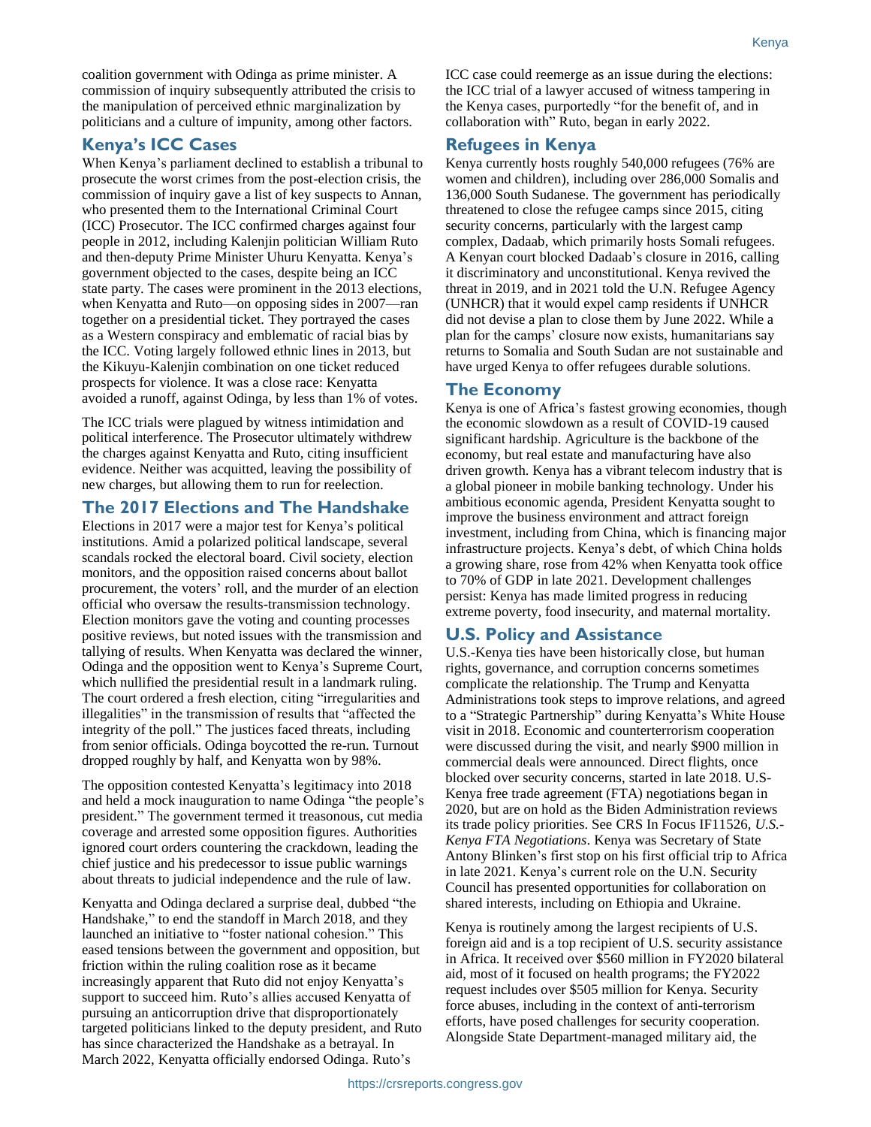coalition government with Odinga as prime minister. A commission of inquiry subsequently attributed the crisis to the manipulation of perceived ethnic marginalization by politicians and a culture of impunity, among other factors.

### **Kenya's ICC Cases**

When Kenya's parliament declined to establish a tribunal to prosecute the worst crimes from the post-election crisis, the commission of inquiry gave a list of key suspects to Annan, who presented them to the International Criminal Court (ICC) Prosecutor. The ICC confirmed charges against four people in 2012, including Kalenjin politician William Ruto and then-deputy Prime Minister Uhuru Kenyatta. Kenya's government objected to the cases, despite being an ICC state party. The cases were prominent in the 2013 elections, when Kenyatta and Ruto—on opposing sides in 2007—ran together on a presidential ticket. They portrayed the cases as a Western conspiracy and emblematic of racial bias by the ICC. Voting largely followed ethnic lines in 2013, but the Kikuyu-Kalenjin combination on one ticket reduced prospects for violence. It was a close race: Kenyatta avoided a runoff, against Odinga, by less than 1% of votes.

The ICC trials were plagued by witness intimidation and political interference. The Prosecutor ultimately withdrew the charges against Kenyatta and Ruto, citing insufficient evidence. Neither was acquitted, leaving the possibility of new charges, but allowing them to run for reelection.

### **The 2017 Elections and The Handshake**

Elections in 2017 were a major test for Kenya's political institutions. Amid a polarized political landscape, several scandals rocked the electoral board. Civil society, election monitors, and the opposition raised concerns about ballot procurement, the voters' roll, and the murder of an election official who oversaw the results-transmission technology. Election monitors gave the voting and counting processes positive reviews, but noted issues with the transmission and tallying of results. When Kenyatta was declared the winner, Odinga and the opposition went to Kenya's Supreme Court, which nullified the presidential result in a landmark ruling. The court ordered a fresh election, citing "irregularities and illegalities" in the transmission of results that "affected the integrity of the poll." The justices faced threats, including from senior officials. Odinga boycotted the re-run. Turnout dropped roughly by half, and Kenyatta won by 98%.

The opposition contested Kenyatta's legitimacy into 2018 and held a mock inauguration to name Odinga "the people's president." The government termed it treasonous, cut media coverage and arrested some opposition figures. Authorities ignored court orders countering the crackdown, leading the chief justice and his predecessor to issue public warnings about threats to judicial independence and the rule of law.

Kenyatta and Odinga declared a surprise deal, dubbed "the Handshake," to end the standoff in March 2018, and they launched an initiative to "foster national cohesion." This eased tensions between the government and opposition, but friction within the ruling coalition rose as it became increasingly apparent that Ruto did not enjoy Kenyatta's support to succeed him. Ruto's allies accused Kenyatta of pursuing an anticorruption drive that disproportionately targeted politicians linked to the deputy president, and Ruto has since characterized the Handshake as a betrayal. In March 2022, Kenyatta officially endorsed Odinga. Ruto's

ICC case could reemerge as an issue during the elections: the ICC trial of a lawyer accused of witness tampering in the Kenya cases, purportedly "for the benefit of, and in collaboration with" Ruto, began in early 2022.

#### **Refugees in Kenya**

Kenya currently hosts roughly 540,000 refugees (76% are women and children), including over 286,000 Somalis and 136,000 South Sudanese. The government has periodically threatened to close the refugee camps since 2015, citing security concerns, particularly with the largest camp complex, Dadaab, which primarily hosts Somali refugees. A Kenyan court blocked Dadaab's closure in 2016, calling it discriminatory and unconstitutional. Kenya revived the threat in 2019, and in 2021 told the U.N. Refugee Agency (UNHCR) that it would expel camp residents if UNHCR did not devise a plan to close them by June 2022. While a plan for the camps' closure now exists, humanitarians say returns to Somalia and South Sudan are not sustainable and have urged Kenya to offer refugees durable solutions.

### **The Economy**

Kenya is one of Africa's fastest growing economies, though the economic slowdown as a result of COVID-19 caused significant hardship. Agriculture is the backbone of the economy, but real estate and manufacturing have also driven growth. Kenya has a vibrant telecom industry that is a global pioneer in mobile banking technology. Under his ambitious economic agenda, President Kenyatta sought to improve the business environment and attract foreign investment, including from China, which is financing major infrastructure projects. Kenya's debt, of which China holds a growing share, rose from 42% when Kenyatta took office to 70% of GDP in late 2021. Development challenges persist: Kenya has made limited progress in reducing extreme poverty, food insecurity, and maternal mortality.

## **U.S. Policy and Assistance**

U.S.-Kenya ties have been historically close, but human rights, governance, and corruption concerns sometimes complicate the relationship. The Trump and Kenyatta Administrations took steps to improve relations, and agreed to a "Strategic Partnership" during Kenyatta's White House visit in 2018. Economic and counterterrorism cooperation were discussed during the visit, and nearly \$900 million in commercial deals were announced. Direct flights, once blocked over security concerns, started in late 2018. U.S-Kenya free trade agreement (FTA) negotiations began in 2020, but are on hold as the Biden Administration reviews its trade policy priorities. See CRS In Focus IF11526, *U.S.- Kenya FTA Negotiations*. Kenya was Secretary of State Antony Blinken's first stop on his first official trip to Africa in late 2021. Kenya's current role on the U.N. Security Council has presented opportunities for collaboration on shared interests, including on Ethiopia and Ukraine.

Kenya is routinely among the largest recipients of U.S. foreign aid and is a top recipient of U.S. security assistance in Africa. It received over \$560 million in FY2020 bilateral aid, most of it focused on health programs; the FY2022 request includes over \$505 million for Kenya. Security force abuses, including in the context of anti-terrorism efforts, have posed challenges for security cooperation. Alongside State Department-managed military aid, the